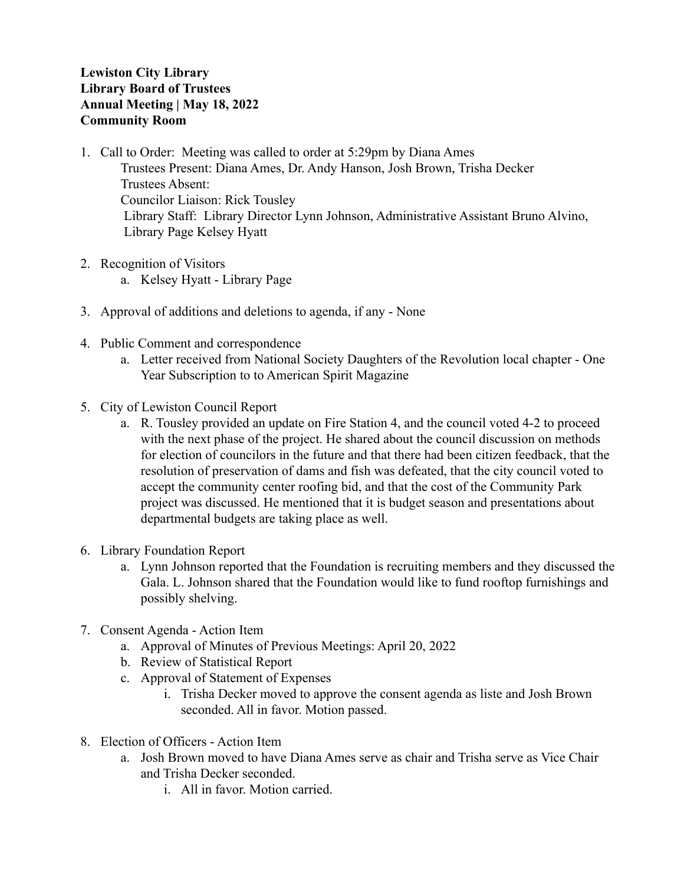## **Lewiston City Library Library Board of Trustees Annual Meeting | May 18, 2022 Community Room**

- 1. Call to Order: Meeting was called to order at 5:29pm by Diana Ames Trustees Present: Diana Ames, Dr. Andy Hanson, Josh Brown, Trisha Decker Trustees Absent: Councilor Liaison: Rick Tousley Library Staff: Library Director Lynn Johnson, Administrative Assistant Bruno Alvino, Library Page Kelsey Hyatt
- 2. Recognition of Visitors a. Kelsey Hyatt - Library Page
- 3. Approval of additions and deletions to agenda, if any None
- 4. Public Comment and correspondence
	- a. Letter received from National Society Daughters of the Revolution local chapter One Year Subscription to to American Spirit Magazine
- 5. City of Lewiston Council Report
	- a. R. Tousley provided an update on Fire Station 4, and the council voted 4-2 to proceed with the next phase of the project. He shared about the council discussion on methods for election of councilors in the future and that there had been citizen feedback, that the resolution of preservation of dams and fish was defeated, that the city council voted to accept the community center roofing bid, and that the cost of the Community Park project was discussed. He mentioned that it is budget season and presentations about departmental budgets are taking place as well.
- 6. Library Foundation Report
	- a. Lynn Johnson reported that the Foundation is recruiting members and they discussed the Gala. L. Johnson shared that the Foundation would like to fund rooftop furnishings and possibly shelving.
- 7. Consent Agenda Action Item
	- a. Approval of Minutes of Previous Meetings: April 20, 2022
	- b. Review of Statistical Report
	- c. Approval of Statement of Expenses
		- i. Trisha Decker moved to approve the consent agenda as liste and Josh Brown seconded. All in favor. Motion passed.
- 8. Election of Officers Action Item
	- a. Josh Brown moved to have Diana Ames serve as chair and Trisha serve as Vice Chair and Trisha Decker seconded.
		- i. All in favor. Motion carried.